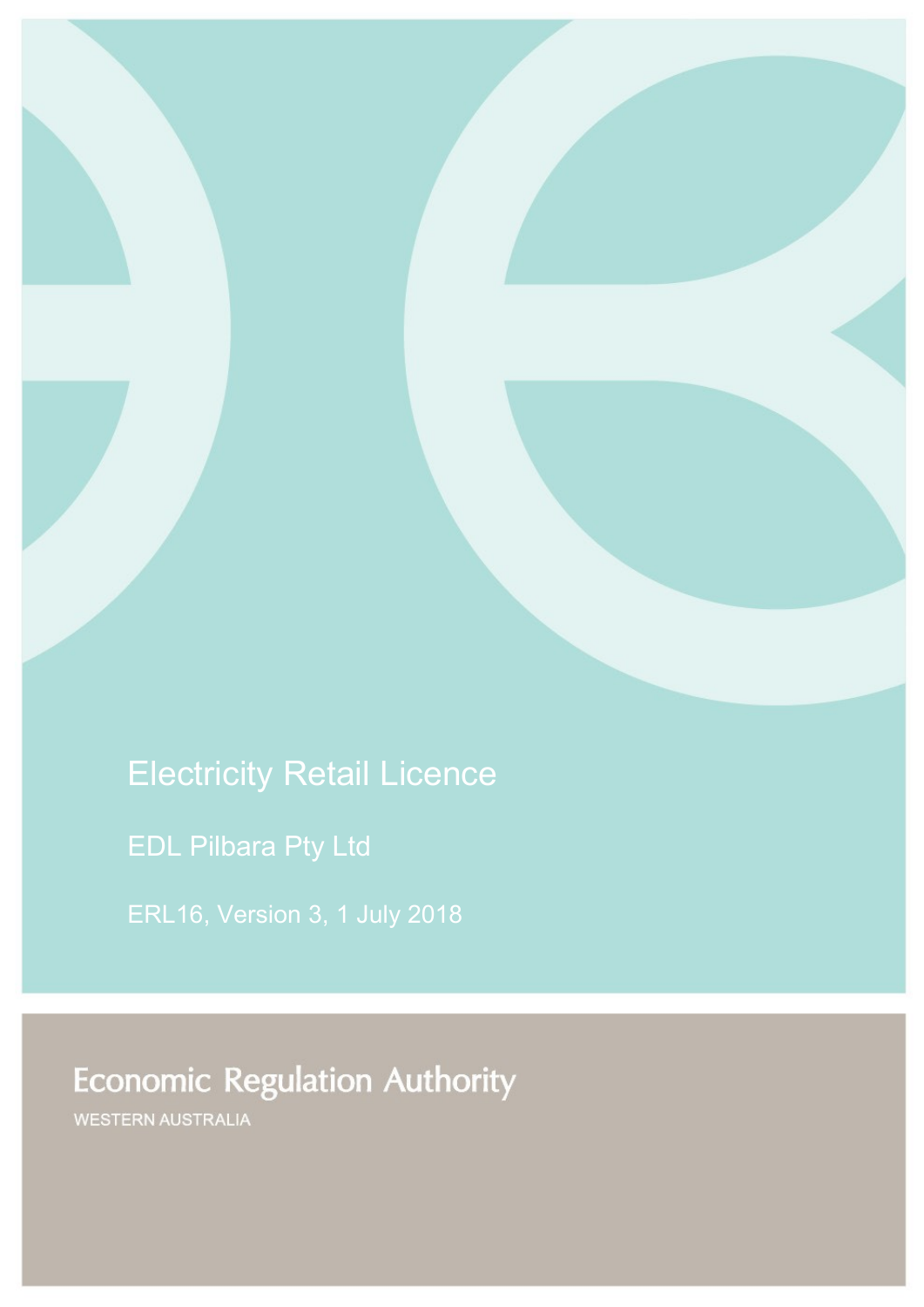# Electricity Retail Licence

EDL Pilbara Pty Ltd

ERL16, Version 3, 1 July 2018

# **Economic Regulation Authority**

WESTERN AUSTRALIA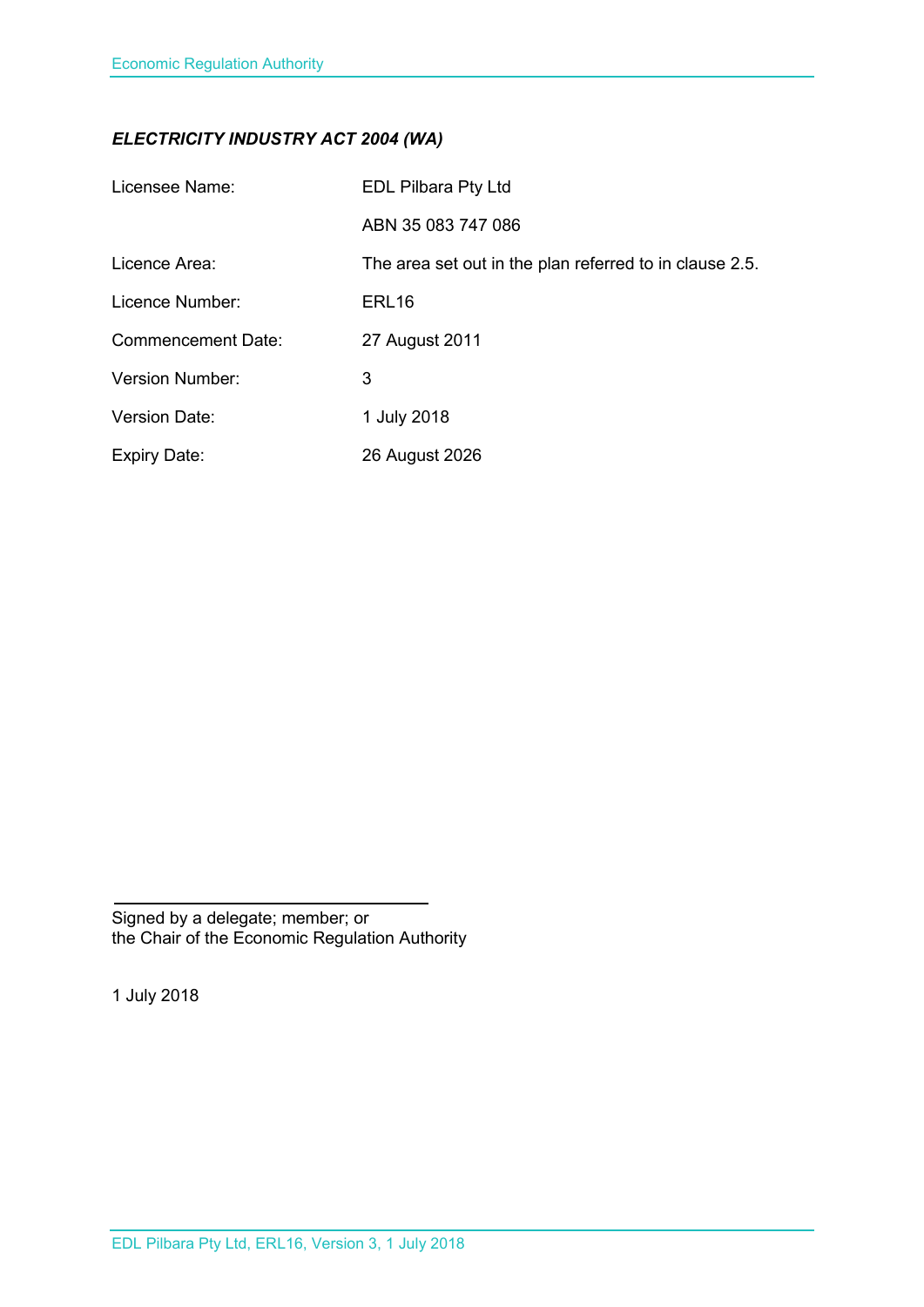# *ELECTRICITY INDUSTRY ACT 2004 (WA)*

| Licensee Name:            | <b>EDL Pilbara Pty Ltd</b>                              |
|---------------------------|---------------------------------------------------------|
|                           | ABN 35 083 747 086                                      |
| Licence Area:             | The area set out in the plan referred to in clause 2.5. |
| Licence Number:           | ERL <sub>16</sub>                                       |
| <b>Commencement Date:</b> | 27 August 2011                                          |
| <b>Version Number:</b>    | 3                                                       |
| <b>Version Date:</b>      | 1 July 2018                                             |
| <b>Expiry Date:</b>       | 26 August 2026                                          |

Signed by a delegate; member; or the Chair of the Economic Regulation Authority

1 July 2018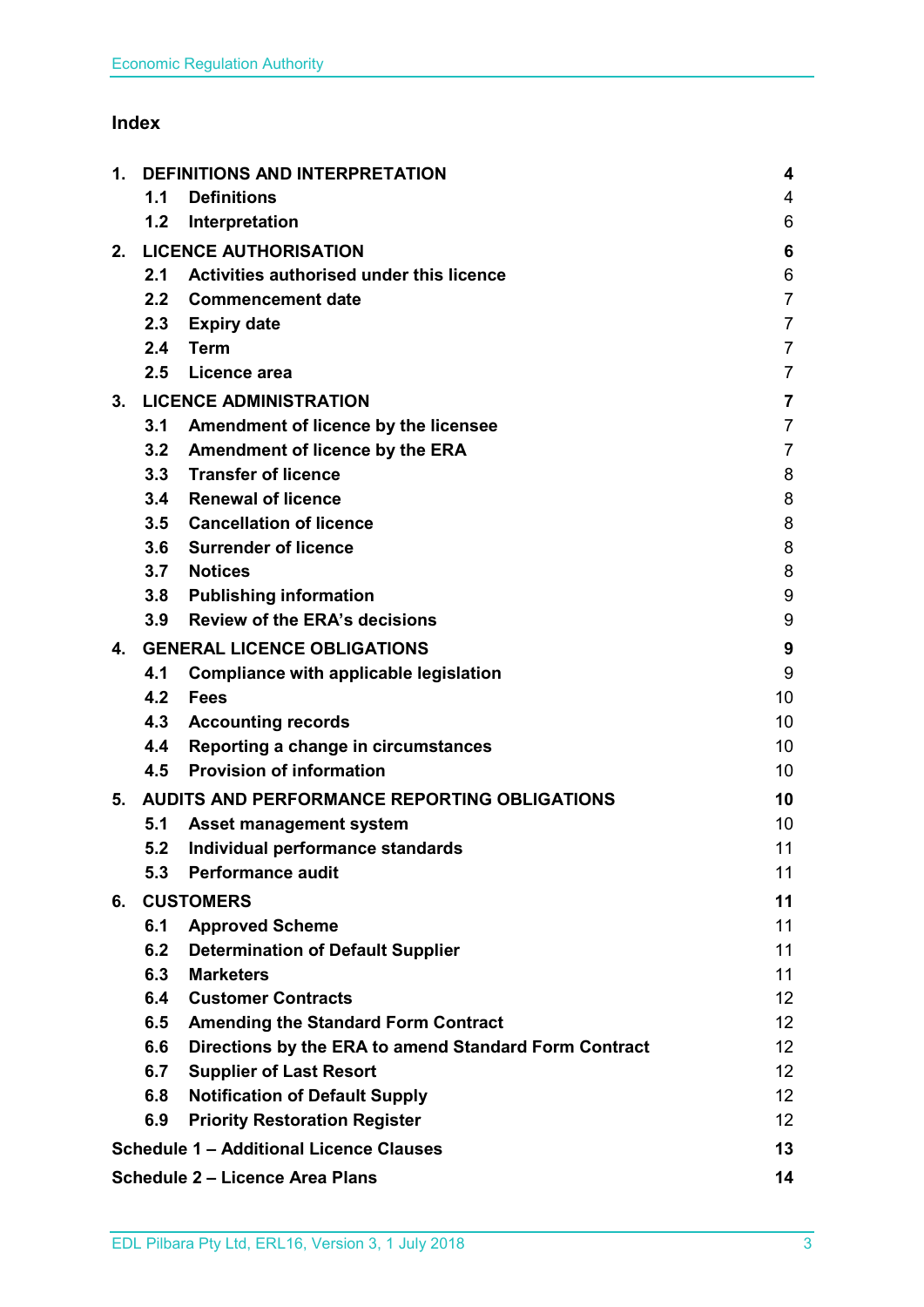# **Index**

| 1. | <b>DEFINITIONS AND INTERPRETATION</b>        |                                                       | 4                       |
|----|----------------------------------------------|-------------------------------------------------------|-------------------------|
|    | 1.1                                          | <b>Definitions</b>                                    | 4                       |
|    | 1.2                                          | Interpretation                                        | 6                       |
| 2. |                                              | <b>LICENCE AUTHORISATION</b>                          | 6                       |
|    | 2.1                                          | Activities authorised under this licence              | 6                       |
|    | 2.2                                          | <b>Commencement date</b>                              | $\overline{7}$          |
|    | 2.3                                          | <b>Expiry date</b>                                    | $\overline{7}$          |
|    | 2.4                                          | <b>Term</b>                                           | $\overline{7}$          |
|    | 2.5                                          | Licence area                                          | $\overline{7}$          |
| 3. | <b>LICENCE ADMINISTRATION</b>                |                                                       | $\overline{\mathbf{7}}$ |
|    | 3.1                                          | Amendment of licence by the licensee                  | $\overline{7}$          |
|    | 3.2                                          | Amendment of licence by the ERA                       | $\overline{7}$          |
|    |                                              | 3.3 Transfer of licence                               | 8                       |
|    | 3.4                                          | <b>Renewal of licence</b>                             | 8                       |
|    |                                              | 3.5 Cancellation of licence                           | 8                       |
|    | 3.6                                          | <b>Surrender of licence</b>                           | 8                       |
|    | 3.7                                          | <b>Notices</b>                                        | 8                       |
|    | 3.8                                          | <b>Publishing information</b>                         | 9                       |
|    | 3.9                                          | <b>Review of the ERA's decisions</b>                  | 9                       |
| 4. | <b>GENERAL LICENCE OBLIGATIONS</b>           |                                                       | 9                       |
|    | 4.1                                          | Compliance with applicable legislation                | 9                       |
|    | 4.2                                          | <b>Fees</b>                                           | 10                      |
|    | 4.3                                          | <b>Accounting records</b>                             | 10                      |
|    | 4.4                                          | Reporting a change in circumstances                   | 10                      |
|    | 4.5                                          | <b>Provision of information</b>                       | 10                      |
| 5. | AUDITS AND PERFORMANCE REPORTING OBLIGATIONS |                                                       | 10                      |
|    | 5.1                                          | <b>Asset management system</b>                        | 10                      |
|    | 5.2                                          | Individual performance standards                      | 11                      |
|    | 5.3                                          | <b>Performance audit</b>                              | 11                      |
| 6. | <b>CUSTOMERS</b>                             |                                                       | 11                      |
|    | 6.1                                          | <b>Approved Scheme</b>                                | 11                      |
|    | 6.2                                          | <b>Determination of Default Supplier</b>              | 11                      |
|    | 6.3                                          | <b>Marketers</b>                                      | 11                      |
|    | 6.4                                          | <b>Customer Contracts</b>                             | 12 <sub>2</sub>         |
|    | 6.5                                          | <b>Amending the Standard Form Contract</b>            | 12 <sub>2</sub>         |
|    | 6.6                                          | Directions by the ERA to amend Standard Form Contract | 12 <sub>2</sub>         |
|    | 6.7                                          | <b>Supplier of Last Resort</b>                        | 12 <sup>2</sup>         |
|    | 6.8                                          | <b>Notification of Default Supply</b>                 | 12 <sup>2</sup>         |
|    | 6.9                                          | <b>Priority Restoration Register</b>                  | 12 <sub>2</sub>         |
|    |                                              | <b>Schedule 1 - Additional Licence Clauses</b>        | 13                      |
|    |                                              | <b>Schedule 2 - Licence Area Plans</b>                | 14                      |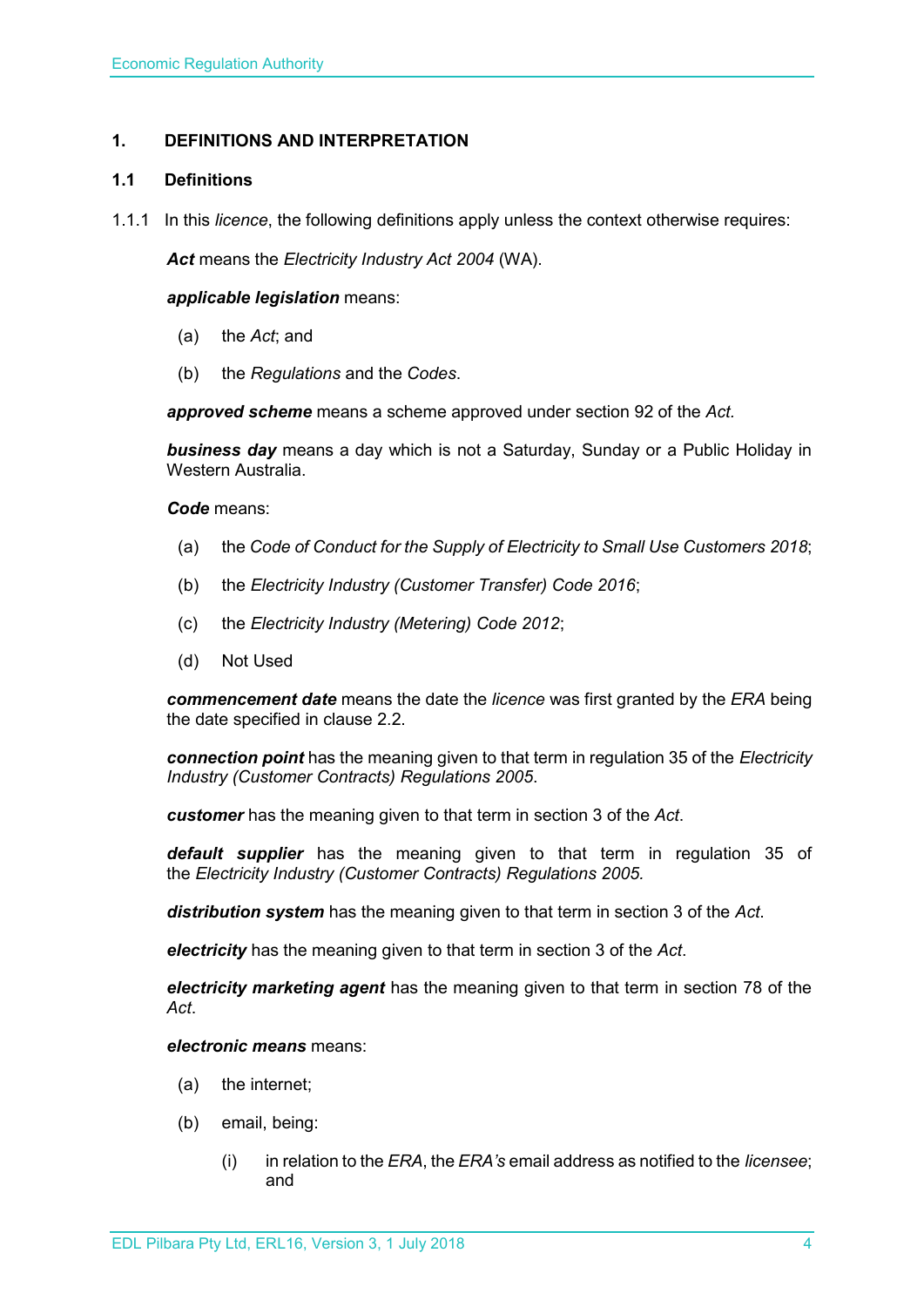# <span id="page-3-0"></span>**1. DEFINITIONS AND INTERPRETATION**

# <span id="page-3-1"></span>**1.1 Definitions**

1.1.1 In this *licence*, the following definitions apply unless the context otherwise requires:

*Act* means the *Electricity Industry Act 2004* (WA).

#### *applicable legislation* means:

- (a) the *Act*; and
- (b) the *Regulations* and the *Codes*.

*approved scheme* means a scheme approved under section 92 of the *Act.* 

*business day* means a day which is not a Saturday, Sunday or a Public Holiday in Western Australia.

*Code* means:

- (a) the *Code of Conduct for the Supply of Electricity to Small Use Customers 2018*;
- (b) the *Electricity Industry (Customer Transfer) Code 2016*;
- (c) the *Electricity Industry (Metering) Code 2012*;
- (d) Not Used

*commencement date* means the date the *licence* was first granted by the *ERA* being the date specified in clause 2.2.

*connection point* has the meaning given to that term in regulation 35 of the *[Electricity](http://www.slp.wa.gov.au/legislation/statutes.nsf/main_mrtitle_1345_homepage.html)  [Industry \(Customer Contracts\) Regulations 2005](http://www.slp.wa.gov.au/legislation/statutes.nsf/main_mrtitle_1345_homepage.html)*.

*customer* has the meaning given to that term in section 3 of the *Act*.

*default supplier* has the meaning given to that term in regulation 35 of the *Electricity [Industry \(Customer Contracts\) Regulations 2005.](http://www.slp.wa.gov.au/legislation/statutes.nsf/main_mrtitle_1345_homepage.html)*

*distribution system* has the meaning given to that term in section 3 of the *Act*.

*electricity* has the meaning given to that term in section 3 of the *Act*.

*electricity marketing agent* has the meaning given to that term in section 78 of the *Act*.

*electronic means* means:

- (a) the internet;
- (b) email, being:
	- (i) in relation to the *ERA*, the *ERA's* email address as notified to the *licensee*; and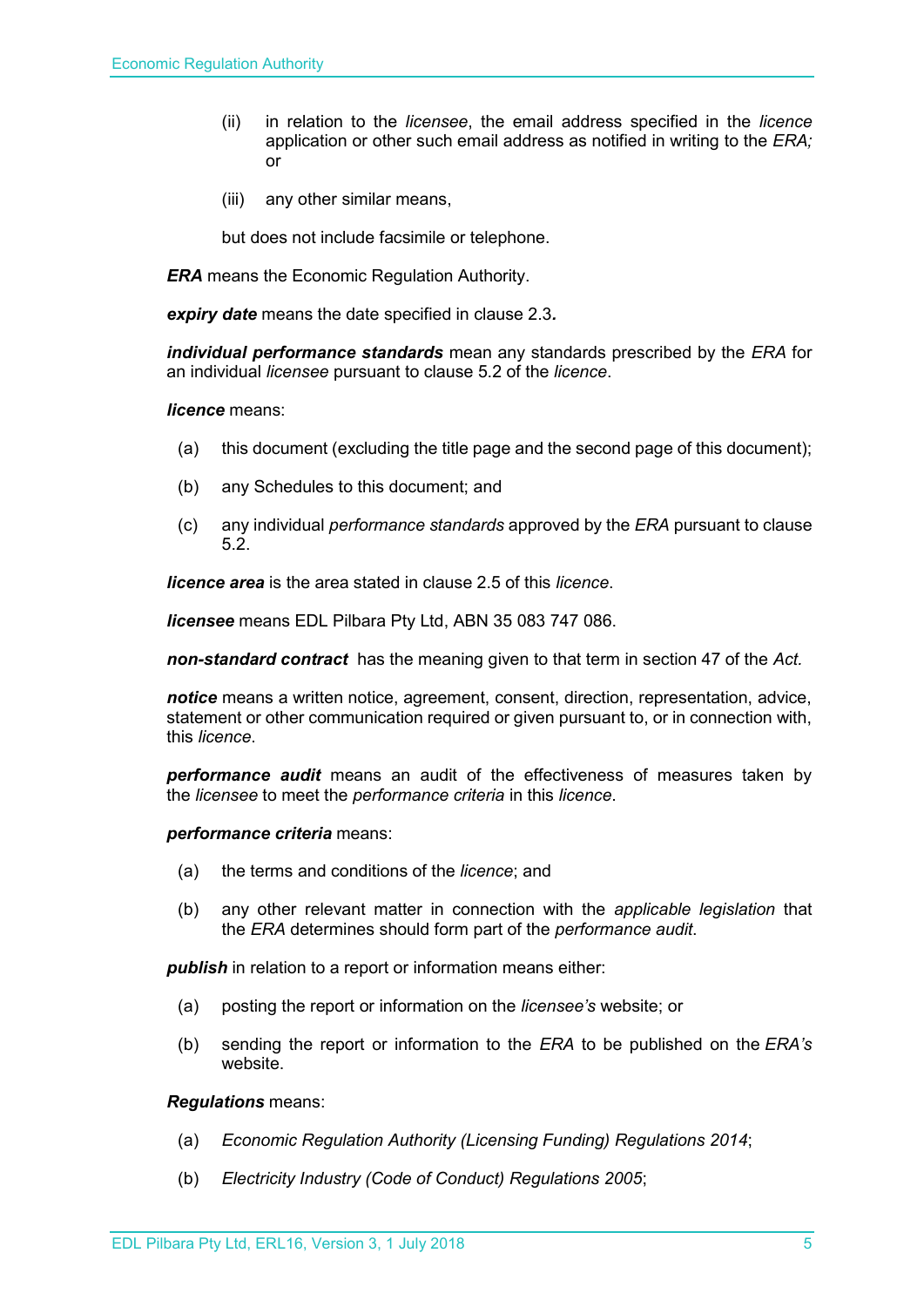- (ii) in relation to the *licensee*, the email address specified in the *licence* application or other such email address as notified in writing to the *ERA;* or
- (iii) any other similar means,

but does not include facsimile or telephone.

*ERA* means the Economic Regulation Authority.

*expiry date* means the date specified in clause 2.3*.*

*individual performance standards* mean any standards prescribed by the *ERA* for an individual *licensee* pursuant to clause 5.2 of the *licence*.

#### *licence* means:

- (a) this document (excluding the title page and the second page of this document);
- (b) any Schedules to this document; and
- (c) any individual *performance standards* approved by the *ERA* pursuant to clause 5.2.

*licence area* is the area stated in clause 2.5 of this *licence*.

*licensee* means EDL Pilbara Pty Ltd, ABN 35 083 747 086.

*non-standard contract* has the meaning given to that term in section 47 of the *Act.* 

*notice* means a written notice, agreement, consent, direction, representation, advice, statement or other communication required or given pursuant to, or in connection with, this *licence*.

*performance audit* means an audit of the effectiveness of measures taken by the *licensee* to meet the *performance criteria* in this *licence*.

*performance criteria* means:

- (a) the terms and conditions of the *licence*; and
- (b) any other relevant matter in connection with the *applicable legislation* that the *ERA* determines should form part of the *performance audit*.

*publish* in relation to a report or information means either:

- (a) posting the report or information on the *licensee's* website; or
- (b) sending the report or information to the *ERA* to be published on the *ERA's* website.

*Regulations* means:

- (a) *Economic Regulation Authority (Licensing Funding) Regulations 2014*;
- (b) *Electricity Industry (Code of Conduct) Regulations 2005*;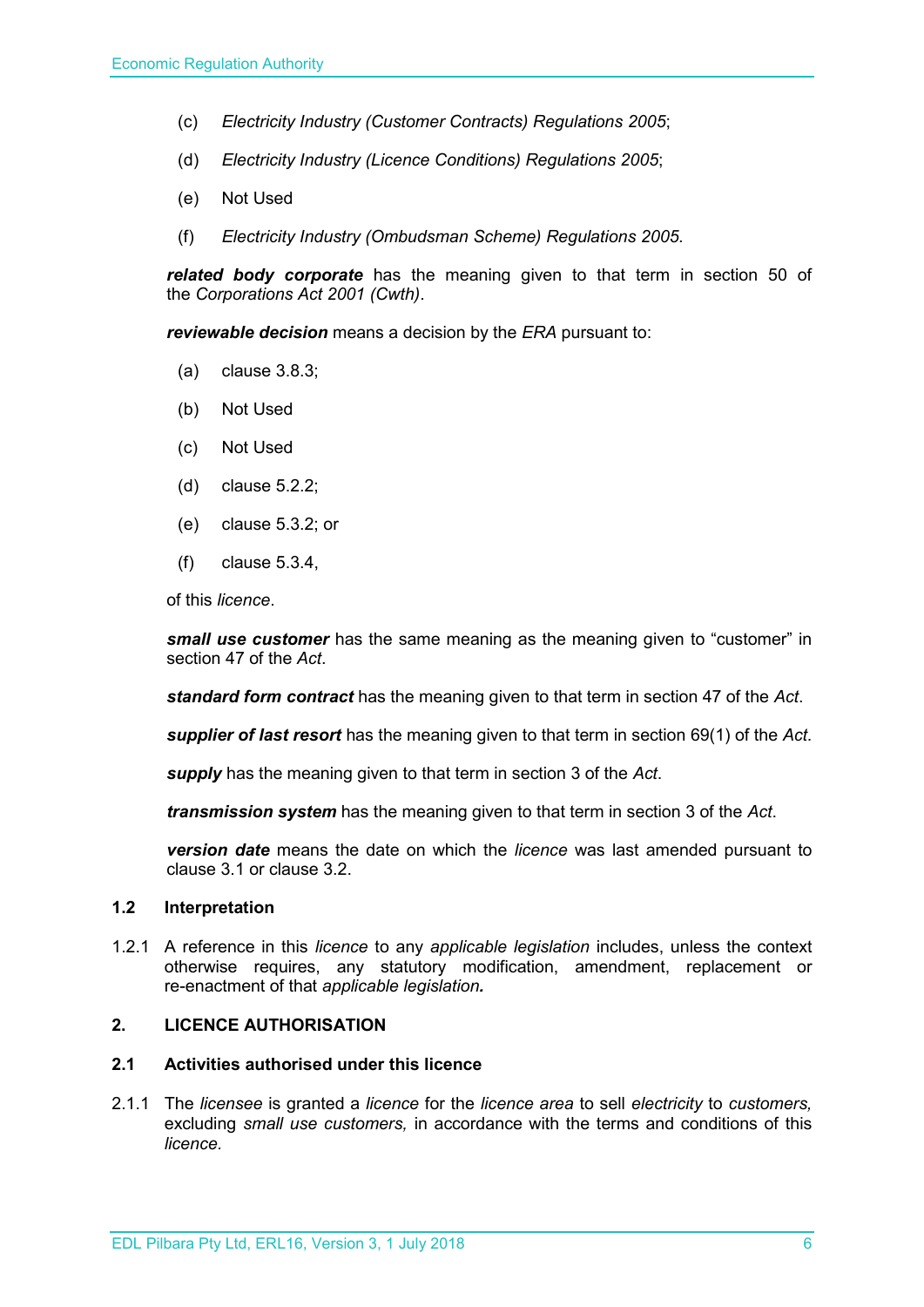- (c) *Electricity Industry (Customer Contracts) Regulations 2005*;
- (d) *Electricity Industry (Licence Conditions) Regulations 2005*;
- (e) Not Used
- (f) *Electricity Industry (Ombudsman Scheme) Regulations 2005.*

*related body corporate* has the meaning given to that term in section 50 of the *Corporations Act 2001 (Cwth)*.

*reviewable decision* means a decision by the *ERA* pursuant to:

- (a) clause 3.8.3;
- (b) Not Used
- (c) Not Used
- (d) clause 5.2.2;
- (e) clause 5.3.2; or
- (f) clause 5.3.4,

of this *licence*.

*small use customer* has the same meaning as the meaning given to "customer" in section 47 of the *Act*.

*standard form contract* has the meaning given to that term in section 47 of the *Act*.

*supplier of last resort* has the meaning given to that term in section 69(1) of the *Act*.

*supply* has the meaning given to that term in section 3 of the *Act*.

*transmission system* has the meaning given to that term in section 3 of the *Act*.

*version date* means the date on which the *licence* was last amended pursuant to clause 3.1 or clause 3.2.

# <span id="page-5-0"></span>**1.2 Interpretation**

1.2.1 A reference in this *licence* to any *applicable legislation* includes, unless the context otherwise requires, any statutory modification, amendment, replacement or re-enactment of that *applicable legislation.*

#### <span id="page-5-1"></span>**2. LICENCE AUTHORISATION**

### <span id="page-5-2"></span>**2.1 Activities authorised under this licence**

2.1.1 The *licensee* is granted a *licence* for the *licence area* to sell *electricity* to *customers,*  excluding *small use customers,* in accordance with the terms and conditions of this *licence.*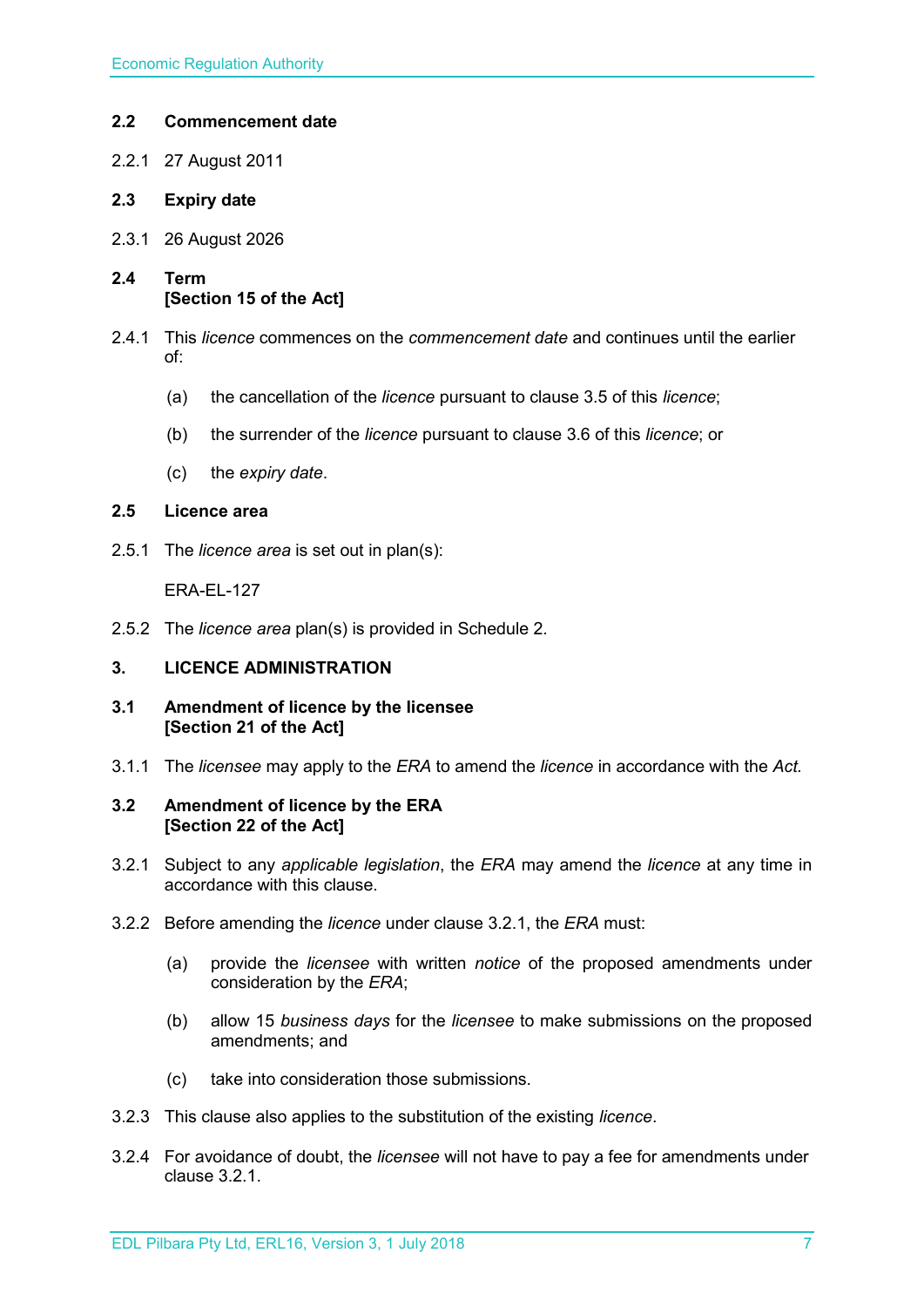# <span id="page-6-0"></span>**2.2 Commencement date**

- 2.2.1 27 August 2011
- <span id="page-6-1"></span>**2.3 Expiry date**
- 2.3.1 26 August 2026
- <span id="page-6-2"></span>**2.4 Term [Section 15 of the Act]**
- 2.4.1 This *licence* commences on the *commencement date* and continues until the earlier of:
	- (a) the cancellation of the *licence* pursuant to clause 3.5 of this *licence*;
	- (b) the surrender of the *licence* pursuant to clause 3.6 of this *licence*; or
	- (c) the *expiry date*.

#### <span id="page-6-3"></span>**2.5 Licence area**

2.5.1 The *licence area* is set out in plan(s):

ERA-EL-127

2.5.2 The *licence area* plan(s) is provided in Schedule 2.

# <span id="page-6-4"></span>**3. LICENCE ADMINISTRATION**

- <span id="page-6-5"></span>**3.1 Amendment of licence by the licensee [Section 21 of the Act]**
- 3.1.1 The *licensee* may apply to the *ERA* to amend the *licence* in accordance with the *Act.*

#### <span id="page-6-6"></span>**3.2 Amendment of licence by the ERA [Section 22 of the Act]**

- 3.2.1 Subject to any *applicable legislation*, the *ERA* may amend the *licence* at any time in accordance with this clause.
- 3.2.2 Before amending the *licence* under clause 3.2.1, the *ERA* must:
	- (a) provide the *licensee* with written *notice* of the proposed amendments under consideration by the *ERA*;
	- (b) allow 15 *business days* for the *licensee* to make submissions on the proposed amendments; and
	- (c) take into consideration those submissions.
- 3.2.3 This clause also applies to the substitution of the existing *licence*.
- 3.2.4 For avoidance of doubt, the *licensee* will not have to pay a fee for amendments under clause 3.2.1.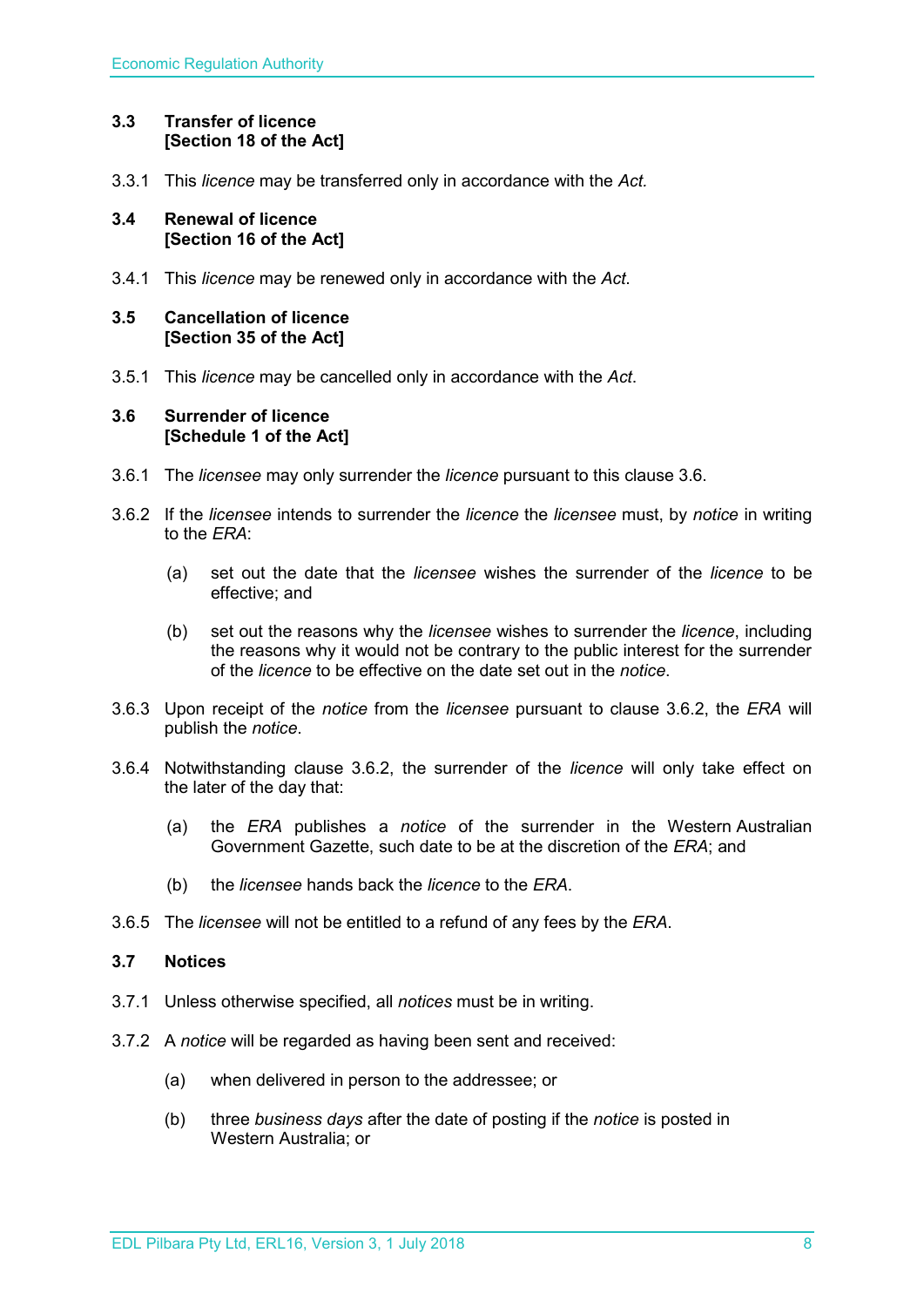# <span id="page-7-0"></span>**3.3 Transfer of licence [Section 18 of the Act]**

3.3.1 This *licence* may be transferred only in accordance with the *Act.*

#### <span id="page-7-1"></span>**3.4 Renewal of licence [Section 16 of the Act]**

3.4.1 This *licence* may be renewed only in accordance with the *Act*.

# <span id="page-7-2"></span>**3.5 Cancellation of licence [Section 35 of the Act]**

3.5.1 This *licence* may be cancelled only in accordance with the *Act*.

#### <span id="page-7-3"></span>**3.6 Surrender of licence [Schedule 1 of the Act]**

- 3.6.1 The *licensee* may only surrender the *licence* pursuant to this clause 3.6.
- 3.6.2 If the *licensee* intends to surrender the *licence* the *licensee* must, by *notice* in writing to the *ERA*:
	- (a) set out the date that the *licensee* wishes the surrender of the *licence* to be effective; and
	- (b) set out the reasons why the *licensee* wishes to surrender the *licence*, including the reasons why it would not be contrary to the public interest for the surrender of the *licence* to be effective on the date set out in the *notice*.
- 3.6.3 Upon receipt of the *notice* from the *licensee* pursuant to clause 3.6.2, the *ERA* will publish the *notice*.
- 3.6.4 Notwithstanding clause 3.6.2, the surrender of the *licence* will only take effect on the later of the day that:
	- (a) the *ERA* publishes a *notice* of the surrender in the Western Australian Government Gazette, such date to be at the discretion of the *ERA*; and
	- (b) the *licensee* hands back the *licence* to the *ERA*.
- 3.6.5 The *licensee* will not be entitled to a refund of any fees by the *ERA*.

# <span id="page-7-4"></span>**3.7 Notices**

- 3.7.1 Unless otherwise specified, all *notices* must be in writing.
- 3.7.2 A *notice* will be regarded as having been sent and received:
	- (a) when delivered in person to the addressee; or
	- (b) three *business days* after the date of posting if the *notice* is posted in Western Australia; or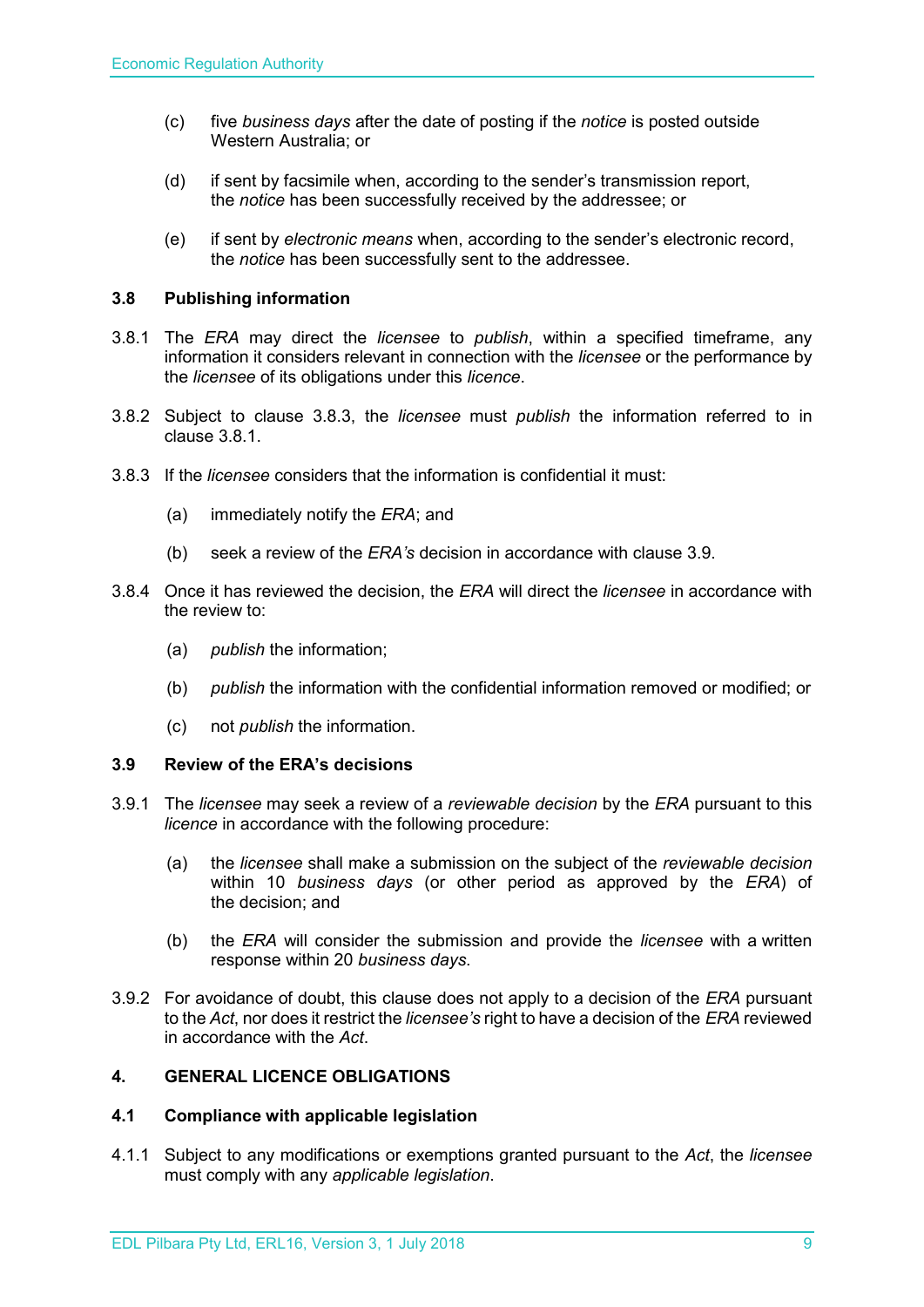- (c) five *business days* after the date of posting if the *notice* is posted outside Western Australia; or
- (d) if sent by facsimile when, according to the sender's transmission report, the *notice* has been successfully received by the addressee; or
- (e) if sent by *electronic means* when, according to the sender's electronic record, the *notice* has been successfully sent to the addressee.

# <span id="page-8-0"></span>**3.8 Publishing information**

- 3.8.1 The *ERA* may direct the *licensee* to *publish*, within a specified timeframe, any information it considers relevant in connection with the *licensee* or the performance by the *licensee* of its obligations under this *licence*.
- 3.8.2 Subject to clause 3.8.3, the *licensee* must *publish* the information referred to in clause 3.8.1.
- 3.8.3 If the *licensee* considers that the information is confidential it must:
	- (a) immediately notify the *ERA*; and
	- (b) seek a review of the *ERA's* decision in accordance with clause 3.9.
- 3.8.4 Once it has reviewed the decision, the *ERA* will direct the *licensee* in accordance with the review to:
	- (a) *publish* the information;
	- (b) *publish* the information with the confidential information removed or modified; or
	- (c) not *publish* the information.

#### <span id="page-8-1"></span>**3.9 Review of the ERA's decisions**

- 3.9.1 The *licensee* may seek a review of a *reviewable decision* by the *ERA* pursuant to this *licence* in accordance with the following procedure:
	- (a) the *licensee* shall make a submission on the subject of the *reviewable decision* within 10 *business days* (or other period as approved by the *ERA*) of the decision; and
	- (b) the *ERA* will consider the submission and provide the *licensee* with a written response within 20 *business days*.
- 3.9.2 For avoidance of doubt, this clause does not apply to a decision of the *ERA* pursuant to the *Act*, nor does it restrict the *licensee's* right to have a decision of the *ERA* reviewed in accordance with the *Act*.

# <span id="page-8-2"></span>**4. GENERAL LICENCE OBLIGATIONS**

#### <span id="page-8-3"></span>**4.1 Compliance with applicable legislation**

4.1.1 Subject to any modifications or exemptions granted pursuant to the *Act*, the *licensee* must comply with any *applicable legislation*.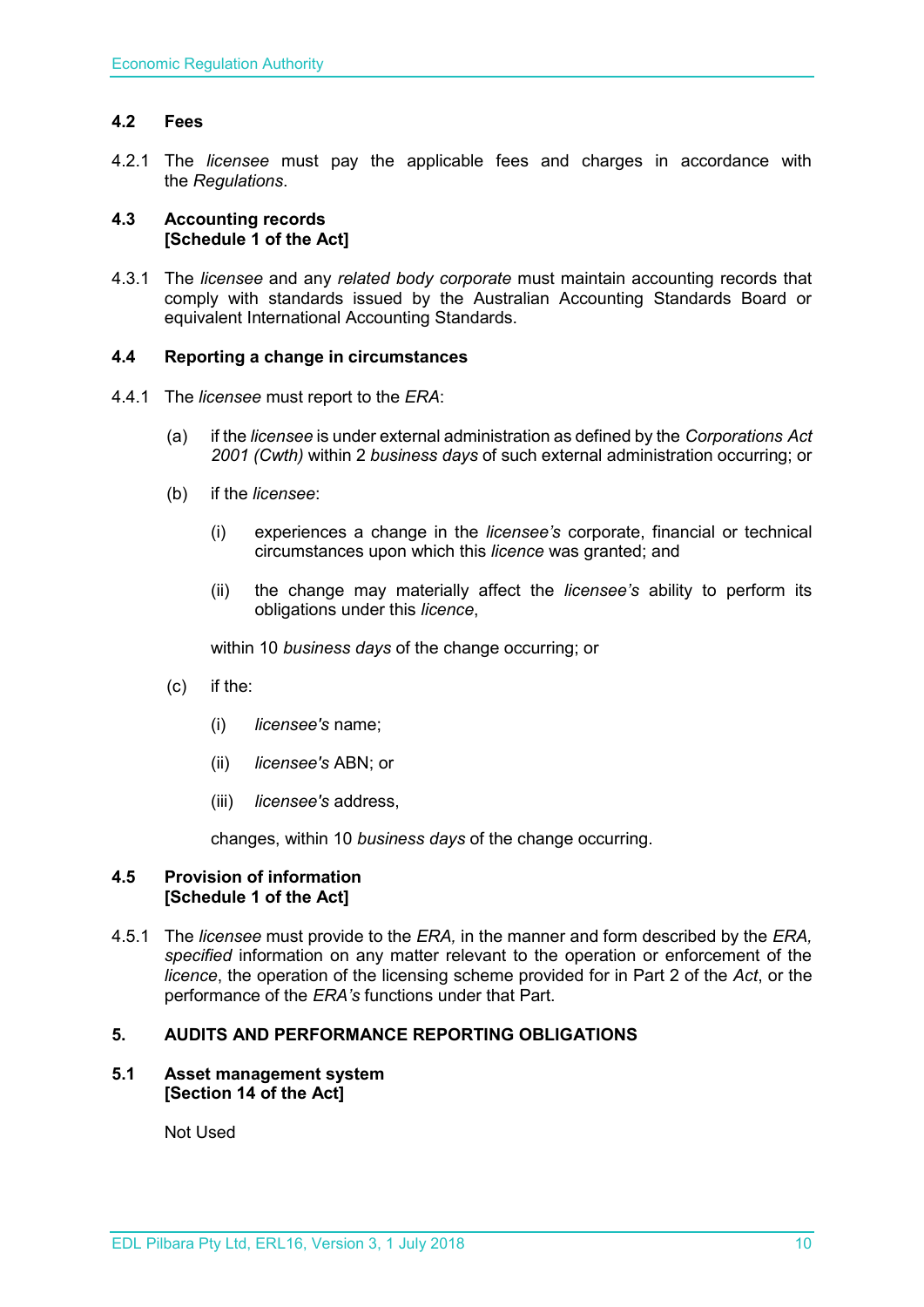# <span id="page-9-0"></span>**4.2 Fees**

4.2.1 The *licensee* must pay the applicable fees and charges in accordance with the *Regulations*.

#### <span id="page-9-1"></span>**4.3 Accounting records [Schedule 1 of the Act]**

4.3.1 The *licensee* and any *related body corporate* must maintain accounting records that comply with standards issued by the Australian Accounting Standards Board or equivalent International Accounting Standards.

#### <span id="page-9-2"></span>**4.4 Reporting a change in circumstances**

- 4.4.1 The *licensee* must report to the *ERA*:
	- (a) if the *licensee* is under external administration as defined by the *Corporations Act 2001 (Cwth)* within 2 *business days* of such external administration occurring; or
	- (b) if the *licensee*:
		- (i) experiences a change in the *licensee's* corporate, financial or technical circumstances upon which this *licence* was granted; and
		- (ii) the change may materially affect the *licensee's* ability to perform its obligations under this *licence*,

within 10 *business days* of the change occurring; or

- (c) if the:
	- (i) *licensee's* name;
	- (ii) *licensee's* ABN; or
	- (iii) *licensee's* address,

changes, within 10 *business days* of the change occurring.

#### <span id="page-9-3"></span>**4.5 Provision of information [Schedule 1 of the Act]**

4.5.1 The *licensee* must provide to the *ERA,* in the manner and form described by the *ERA, specified* information on any matter relevant to the operation or enforcement of the *licence*, the operation of the licensing scheme provided for in Part 2 of the *Act*, or the performance of the *ERA's* functions under that Part.

# <span id="page-9-4"></span>**5. AUDITS AND PERFORMANCE REPORTING OBLIGATIONS**

#### <span id="page-9-5"></span>**5.1 Asset management system [Section 14 of the Act]**

Not Used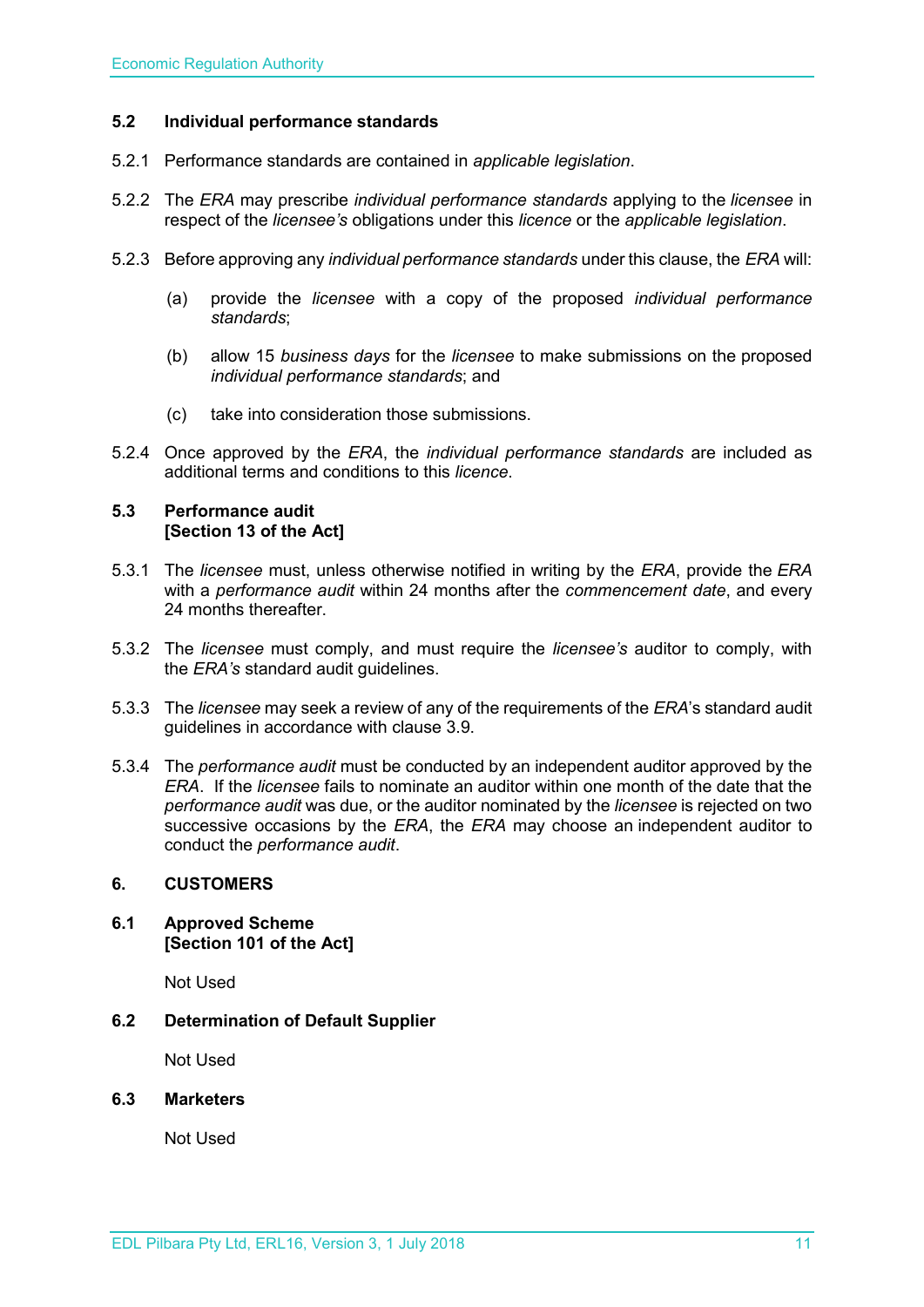# <span id="page-10-0"></span>**5.2 Individual performance standards**

- 5.2.1 Performance standards are contained in *applicable legislation*.
- 5.2.2 The *ERA* may prescribe *individual performance standards* applying to the *licensee* in respect of the *licensee's* obligations under this *licence* or the *applicable legislation*.
- 5.2.3 Before approving any *individual performance standards* under this clause, the *ERA* will:
	- (a) provide the *licensee* with a copy of the proposed *individual performance standards*;
	- (b) allow 15 *business days* for the *licensee* to make submissions on the proposed *individual performance standards*; and
	- (c) take into consideration those submissions.
- 5.2.4 Once approved by the *ERA*, the *individual performance standards* are included as additional terms and conditions to this *licence*.

#### <span id="page-10-1"></span>**5.3 Performance audit [Section 13 of the Act]**

- 5.3.1 The *licensee* must, unless otherwise notified in writing by the *ERA*, provide the *ERA* with a *performance audit* within 24 months after the *commencement date*, and every 24 months thereafter.
- 5.3.2 The *licensee* must comply, and must require the *licensee's* auditor to comply, with the *ERA's* standard audit guidelines.
- 5.3.3 The *licensee* may seek a review of any of the requirements of the *ERA*'s standard audit guidelines in accordance with clause 3.9.
- 5.3.4 The *performance audit* must be conducted by an independent auditor approved by the *ERA*. If the *licensee* fails to nominate an auditor within one month of the date that the *performance audit* was due, or the auditor nominated by the *licensee* is rejected on two successive occasions by the *ERA*, the *ERA* may choose an independent auditor to conduct the *performance audit*.

#### <span id="page-10-2"></span>**6. CUSTOMERS**

<span id="page-10-3"></span>**6.1 Approved Scheme [Section 101 of the Act]**

Not Used

<span id="page-10-4"></span>**6.2 Determination of Default Supplier** 

Not Used

#### <span id="page-10-5"></span>**6.3 Marketers**

Not Used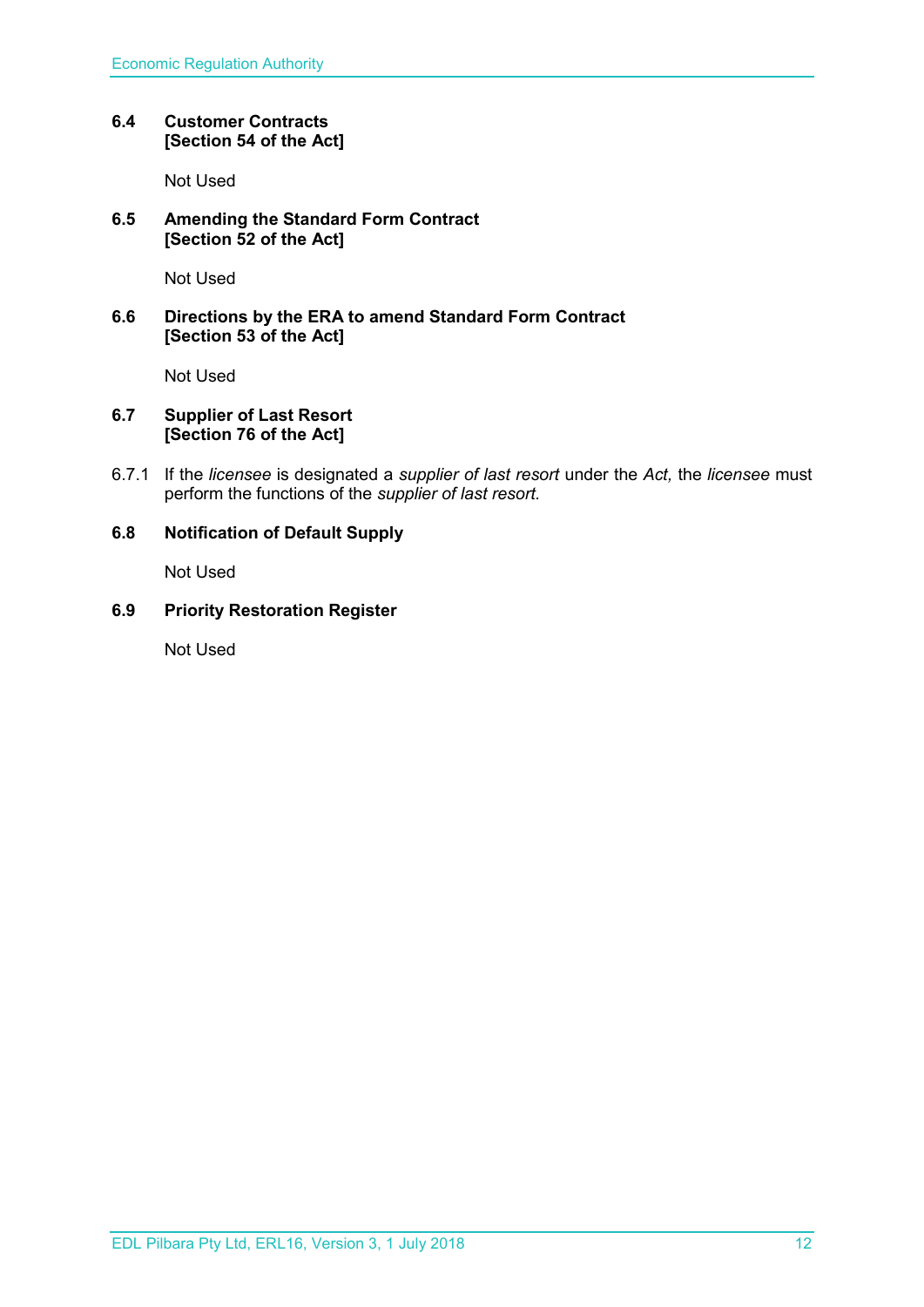# <span id="page-11-0"></span>**6.4 Customer Contracts [Section 54 of the Act]**

Not Used

# <span id="page-11-1"></span>**6.5 Amending the Standard Form Contract [Section 52 of the Act]**

Not Used

# <span id="page-11-2"></span>**6.6 Directions by the ERA to amend Standard Form Contract [Section 53 of the Act]**

Not Used

# <span id="page-11-3"></span>**6.7 Supplier of Last Resort [Section 76 of the Act]**

6.7.1 If the *licensee* is designated a *supplier of last resort* under the *Act,* the *licensee* must perform the functions of the *supplier of last resort.* 

# <span id="page-11-4"></span>**6.8 Notification of Default Supply**

Not Used

# <span id="page-11-5"></span>**6.9 Priority Restoration Register**

Not Used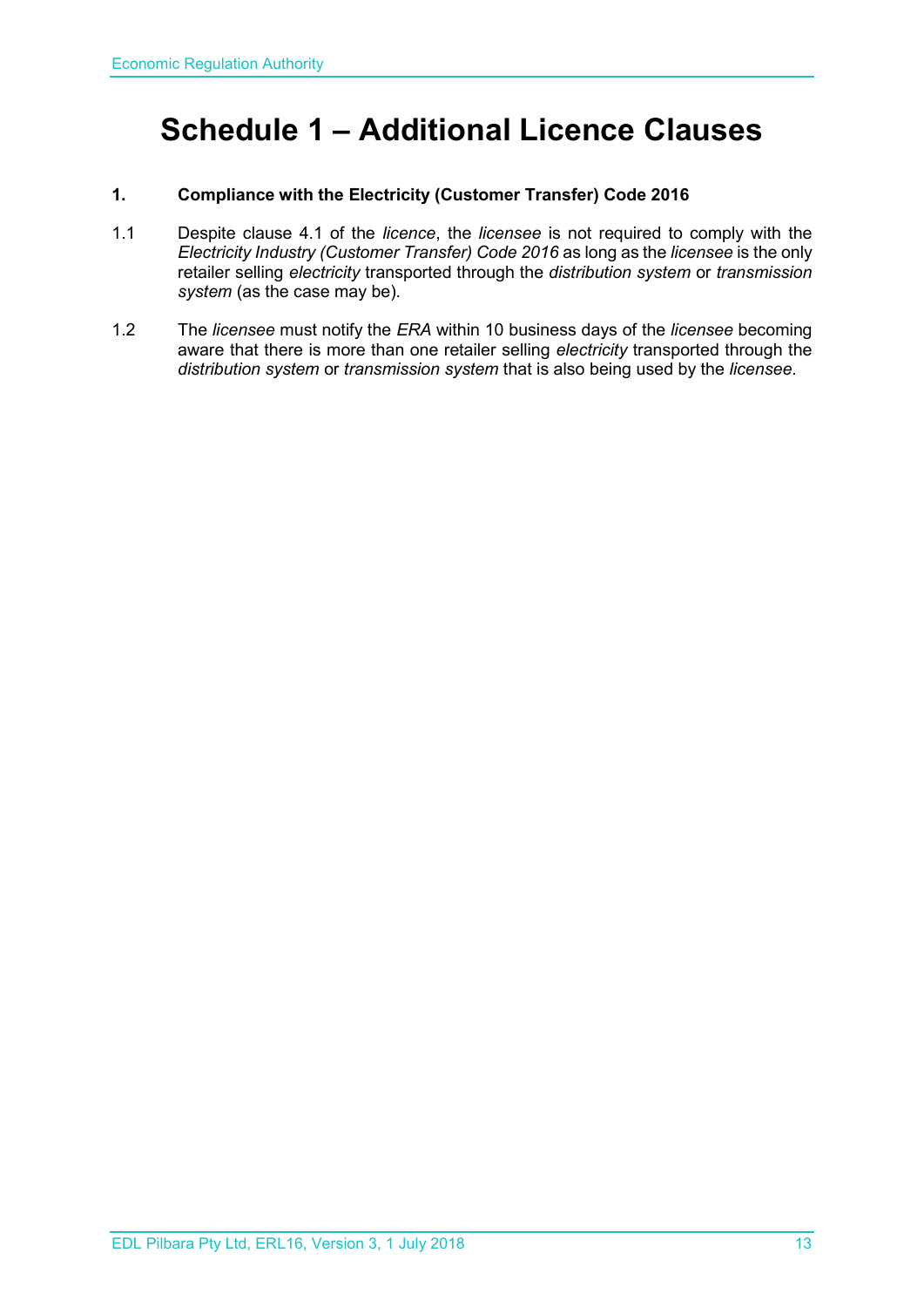# <span id="page-12-0"></span>**Schedule 1 – Additional Licence Clauses**

# **1. Compliance with the Electricity (Customer Transfer) Code 2016**

- 1.1 Despite clause 4.1 of the *licence*, the *licensee* is not required to comply with the *Electricity Industry (Customer Transfer) Code 2016* as long as the *licensee* is the only retailer selling *electricity* transported through the *distribution system* or *transmission system* (as the case may be).
- 1.2 The *licensee* must notify the *ERA* within 10 business days of the *licensee* becoming aware that there is more than one retailer selling *electricity* transported through the *distribution system* or *transmission system* that is also being used by the *licensee*.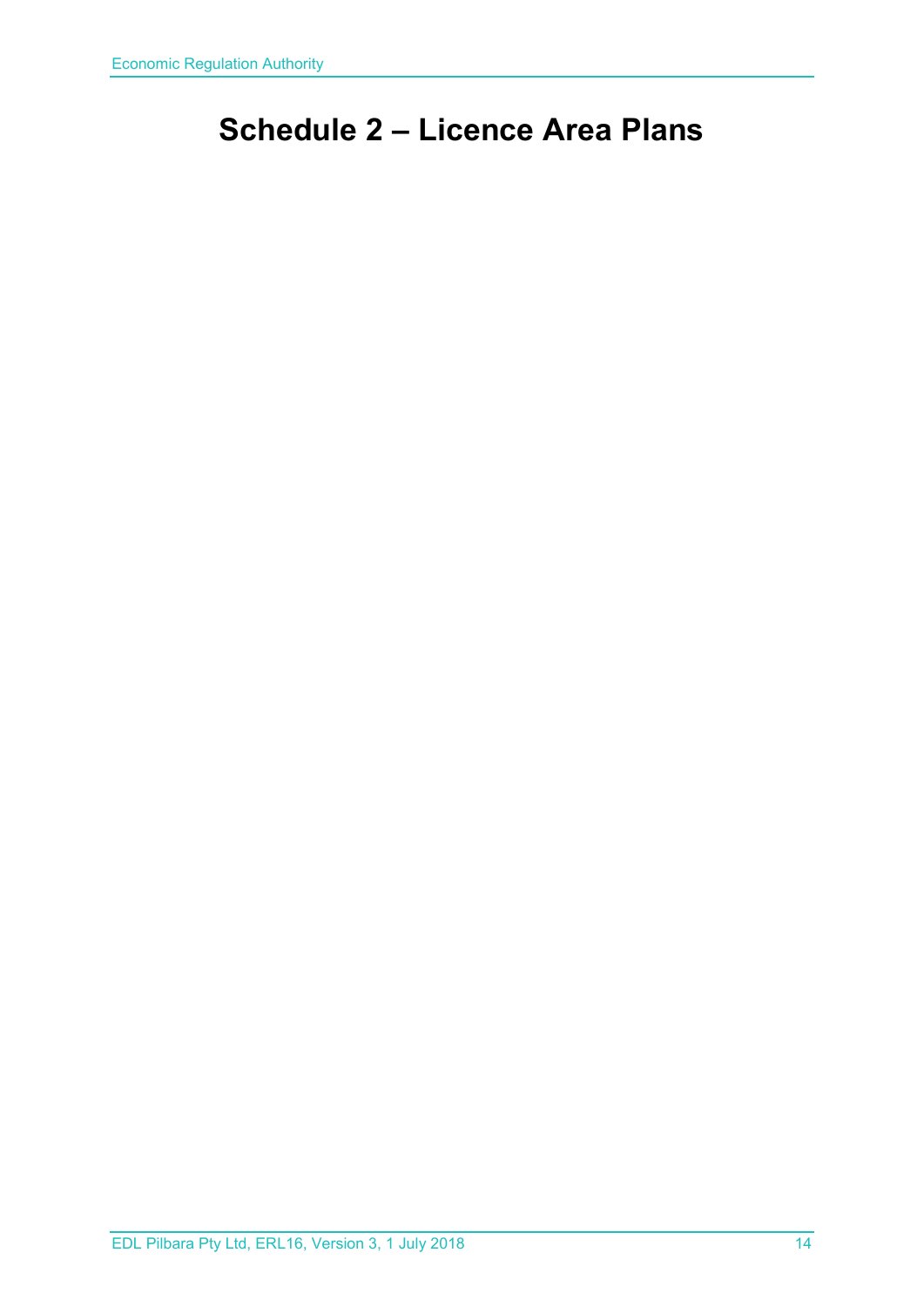# <span id="page-13-0"></span>**Schedule 2 – Licence Area Plans**